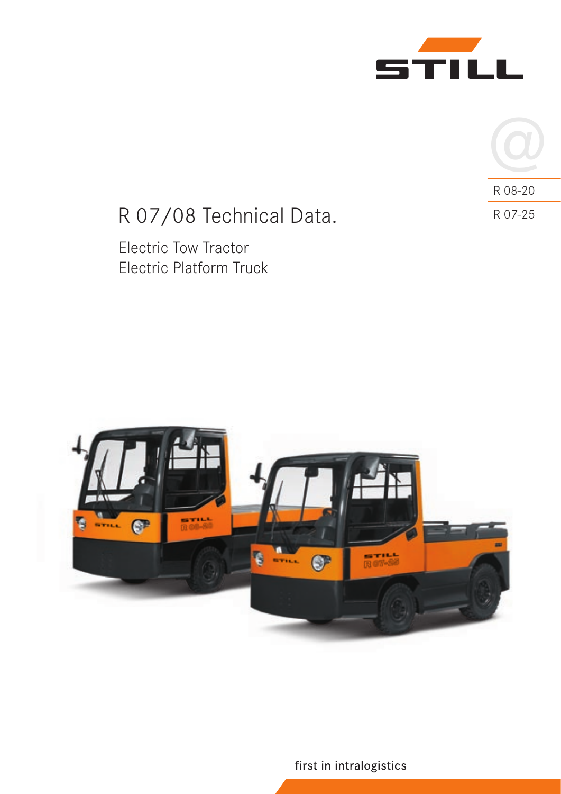



# R 07/08 Technical Data. R 07-25

Electric Tow Tractor Electric Platform Truck



first in intralogistics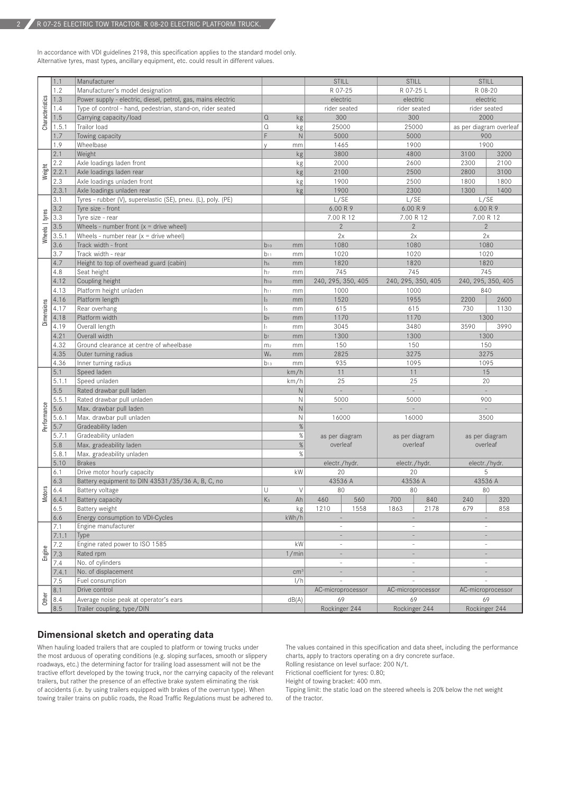In accordance with VDI guidelines 2198, this specification applies to the standard model only. Alternative tyres, mast types, ancillary equipment, etc. could result in different values.

|                 | 1.1   | Manufacturer                                                 |                      |                 | <b>STILL</b>             | <b>STILL</b>             |                | <b>STILL</b>             |                   |  |
|-----------------|-------|--------------------------------------------------------------|----------------------|-----------------|--------------------------|--------------------------|----------------|--------------------------|-------------------|--|
|                 | 1.2   | Manufacturer's model designation                             |                      |                 | R 07-25                  | R 07-25 L                |                | R 08-20                  |                   |  |
| Characteristics | 1.3   | Power supply - electric, diesel, petrol, gas, mains electric |                      |                 | electric                 | electric                 |                | electric                 |                   |  |
|                 | 1.4   | Type of control - hand, pedestrian, stand-on, rider seated   |                      |                 | rider seated             | rider seated             |                | rider seated             |                   |  |
|                 | 1.5   | Carrying capacity/load                                       | $\Omega$             |                 | 300                      | 300                      |                | 2000                     |                   |  |
|                 | 1.5.1 | Trailor load                                                 | $\Omega$             | kg              | 25000                    | 25000                    |                | as per diagram overleaf  |                   |  |
|                 | 1.7   | Towing capacity                                              | F                    | kg<br>N         | 5000                     |                          | 5000           |                          | 900               |  |
|                 | 1.9   | Wheelbase                                                    | $\vee$               |                 | 1465                     | 1900                     |                | 1900                     |                   |  |
|                 |       |                                                              |                      | mm              |                          |                          |                |                          |                   |  |
|                 | 2.1   | Weight                                                       |                      | kg              | 3800                     | 4800<br>2600             |                | 3100                     | 3200              |  |
| Weight          | 2.2   | Axle loadings laden front                                    |                      | kg              | 2000                     |                          |                | 2300                     | 2100              |  |
|                 | 2.2.1 | Axle loadings laden rear                                     |                      | kg              | 2100                     | 2500                     |                | 2800                     | 3100              |  |
|                 | 2.3   | Axle loadings unladen front                                  |                      | kg              | 1900                     | 2500                     |                | 1800                     | 1800              |  |
|                 | 2.3.1 | Axle loadings unladen rear                                   |                      | kg              | 1900                     | 2300                     |                | 1300                     | 1400              |  |
|                 | 3.1   | Tyres - rubber (V), superelastic (SE), pneu. (L), poly. (PE) |                      |                 | L/SE                     | L/SE                     |                | L/SE                     |                   |  |
|                 | 3.2   | Tyre size - front                                            |                      |                 | 6.00 R 9                 | 6.00 R 9                 |                | 6.00 R 9                 |                   |  |
| Wheels   tyres  | 3.3   | Tyre size - rear                                             |                      |                 | 7.00 R 12                | 7.00 R 12                |                | 7.00 R 12                |                   |  |
|                 | 3.5   | Wheels - number front $(x =$ drive wheel)                    |                      |                 | $\overline{2}$           | $\overline{2}$           |                | $\overline{2}$           |                   |  |
|                 | 3.5.1 | Wheels - number rear $(x =$ drive wheel)                     |                      |                 | 2x                       | 2x                       |                | 2x                       |                   |  |
|                 | 3.6   | Track width - front                                          | $b_{10}$             | mm              | 1080                     | 1080                     |                | 1080                     |                   |  |
|                 | 3.7   | Track width - rear                                           | $b_{11}$             | mm              | 1020                     | 1020                     |                | 1020                     |                   |  |
|                 | 4.7   | Height to top of overhead guard (cabin)                      | h <sub>6</sub>       | mm              | 1820                     | 1820                     |                | 1820                     |                   |  |
|                 | 4.8   | Seat height                                                  | h <sub>7</sub>       | mm              | 745                      | 745                      |                | 745                      |                   |  |
|                 | 4.12  | Coupling height                                              | $h_{10}$             | mm              | 240, 295, 350, 405       | 240, 295, 350, 405       |                | 240, 295, 350, 405       |                   |  |
|                 | 4.13  | Platform height unladen                                      | $h_{11}$             | mm              | 1000                     | 1000                     |                |                          | 840               |  |
|                 | 4.16  | Platform length                                              | $\vert_3$            | mm              | 1520                     |                          | 1955           |                          | 2600              |  |
|                 | 4.17  | Rear overhang                                                | $\vert$ <sub>5</sub> | mm              | 615                      |                          | 615            |                          | 1130              |  |
| Dimensions      | 4.18  | Platform width                                               | b <sub>9</sub>       | mm              | 1170                     | 1170                     |                |                          | 1300              |  |
|                 | 4.19  | Overall length                                               | $\mathbf{I}$         | mm              | 3045                     | 3480                     |                | 3590                     | 3990              |  |
|                 | 4.21  | Overall width                                                | b <sub>1</sub>       | mm              | 1300                     | 1300                     |                | 1300                     |                   |  |
|                 | 4.32  | Ground clearance at centre of wheelbase                      | m <sub>2</sub>       | mm              | 150                      | 150                      |                | 150                      |                   |  |
|                 | 4.35  | Outer turning radius                                         | Wa                   | mm              | 2825                     | 3275                     |                | 3275                     |                   |  |
|                 | 4.36  | Inner turning radius                                         | $b_{13}$             | mm              | 935                      | 1095                     |                | 1095                     |                   |  |
|                 | 5.1   | Speed laden                                                  |                      | km/h            | 11                       | 11                       |                | 15                       |                   |  |
|                 | 5.1.1 | Speed unladen                                                |                      | km/h            | 25                       | 25                       |                | 20                       |                   |  |
|                 | 5.5   | Rated drawbar pull laden                                     |                      | $\hbox{N}$      | $\overline{\phantom{a}}$ | $\sim$                   |                | $\sim$                   |                   |  |
|                 | 5.5.1 | Rated drawbar pull unladen                                   |                      | $\mathsf{N}$    | 5000                     | 5000                     |                | 900                      |                   |  |
|                 | 5.6   | Max. drawbar pull laden                                      |                      | $\mathsf{N}$    |                          |                          |                |                          |                   |  |
|                 | 5.6.1 | Max. drawbar pull unladen                                    |                      | $\mathsf{N}$    | 16000                    | 16000                    |                | 3500                     |                   |  |
| Performance     | 5.7   | Gradeability laden                                           |                      | $\%$            |                          |                          |                |                          |                   |  |
|                 | 5.7.1 | Gradeability unladen                                         |                      | $\%$            | as per diagram           |                          | as per diagram | as per diagram           |                   |  |
|                 | 5.8   | Max. gradeability laden                                      |                      | $\%$            | overleaf                 |                          | overleaf       |                          | overleaf          |  |
|                 | 5.8.1 | Max. gradeability unladen                                    |                      | %               |                          |                          |                |                          |                   |  |
|                 | 5.10  | <b>Brakes</b>                                                |                      |                 | electr./hydr.            | electr./hydr.            |                | electr./hydr.            |                   |  |
|                 | 6.1   | Drive motor hourly capacity                                  |                      | kW              | 20                       | 20                       |                | 5                        |                   |  |
|                 | 6.3   | Battery equipment to DIN 43531/35/36 A, B, C, no             |                      |                 | 43536 A                  | 43536 A                  |                | 43536 A                  |                   |  |
|                 | 6.4   | Battery voltage                                              | U                    | $\vee$          | 80                       | 80                       |                |                          | 80                |  |
| <b>Motors</b>   | 6.4.1 | Battery capacity                                             | $\mathsf{K}5$        | Ah              | 460<br>560               | 700                      | 840            | 240                      | 320               |  |
|                 | 6.5   | Battery weight                                               |                      | kg              | 1210<br>1558             | 1863                     | 2178           | 679                      | 858               |  |
|                 | 6.6   | Energy consumption to VDI-Cycles                             |                      | kWh/h           | $\overline{\phantom{a}}$ |                          |                |                          |                   |  |
|                 | 7.1   | Engine manufacturer                                          |                      |                 |                          |                          |                |                          |                   |  |
|                 | 7.1.1 | Type                                                         |                      |                 |                          |                          |                |                          |                   |  |
|                 | 7.2   | Engine rated power to ISO 1585                               |                      | kW              | $\overline{a}$           | $\overline{\phantom{a}}$ |                | $\sim$                   |                   |  |
| Engine          | 7.3   | Rated rpm                                                    |                      | 1/min           |                          |                          |                |                          |                   |  |
|                 | 7.4   | No. of cylinders                                             |                      |                 | $\overline{a}$           | ä,                       |                | $\overline{\phantom{a}}$ |                   |  |
|                 | 7.4.1 | No. of displacement                                          |                      | cm <sup>3</sup> |                          |                          |                |                          |                   |  |
|                 | 7.5   | Fuel consumption                                             |                      | 1/h             |                          |                          |                |                          |                   |  |
|                 | 8.1   | Drive control                                                |                      |                 | AC-microprocessor        | AC-microprocessor        |                |                          | AC-microprocessor |  |
| Other           | 8.4   | Average noise peak at operator's ears                        |                      | dB(A)           | 69                       | 69                       |                | 69                       |                   |  |
|                 | 8.5   | Trailer coupling, type/DIN                                   |                      |                 | Rockinger 244            | Rockinger 244            |                | Rockinger 244            |                   |  |
|                 |       |                                                              |                      |                 |                          |                          |                |                          |                   |  |

#### **Dimensional sketch and operating data**

When hauling loaded trailers that are coupled to platform or towing trucks under the most arduous of operating conditions (e.g. sloping surfaces, smooth or slippery roadways, etc.) the determining factor for trailing load assessment will not be the tractive effort developed by the towing truck, nor the carrying capacity of the relevant trailers, but rather the presence of an effective brake system eliminating the risk of accidents (i.e. by using trailers equipped with brakes of the overrun type). When towing trailer trains on public roads, the Road Traffic Regulations must be adhered to.

The values contained in this specification and data sheet, including the performance charts, apply to tractors operating on a dry concrete surface.

Rolling resistance on level surface: 200 N/t.

Frictional coefficient for tyres: 0.80;

Height of towing bracket: 400 mm.

Tipping limit: the static load on the steered wheels is 20% below the net weight of the tractor.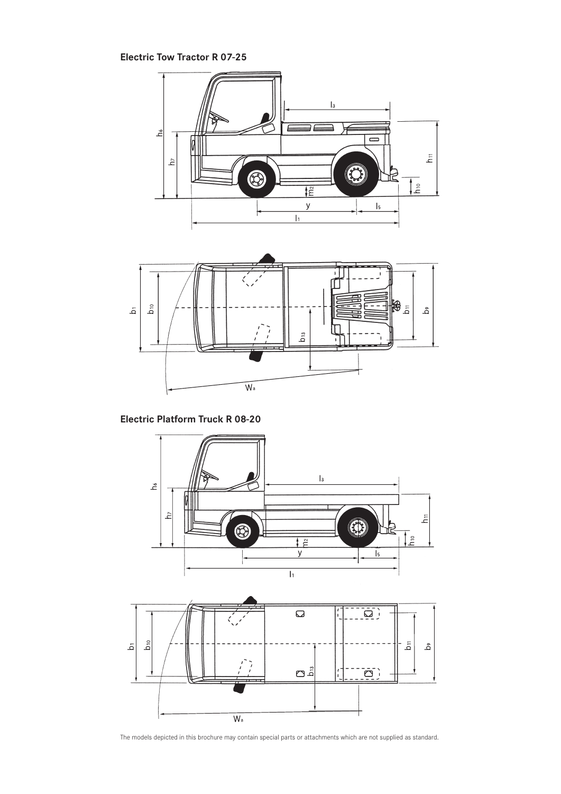# **Electric Tow Tractor R 07-25**



**Electric Platform Truck R 08-20**



The models depicted in this brochure may contain special parts or attachments which are not supplied as standard.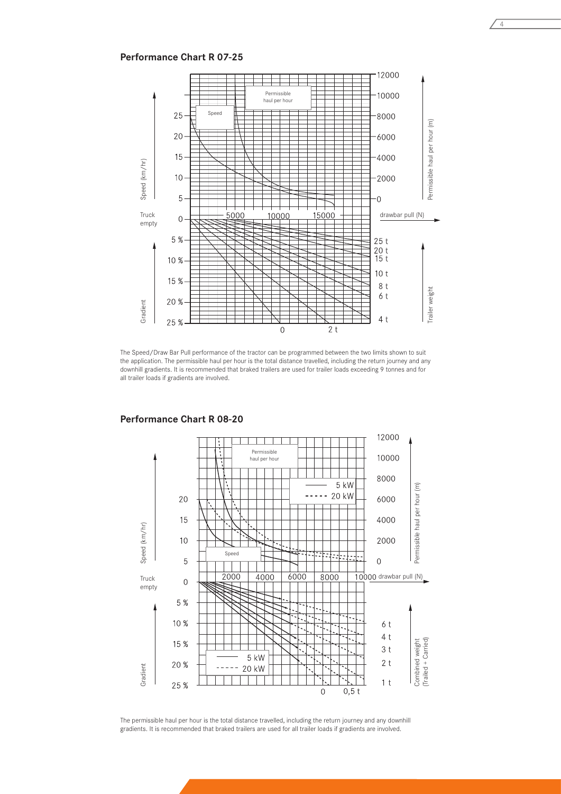## **Performance Chart R 07-25**



The Speed/Draw Bar Pull performance of the tractor can be programmed between the two limits shown to suit the application. The permissible haul per hour is the total distance travelled, including the return journey and any downhill gradients. It is recommended that braked trailers are used for trailer loads exceeding 9 tonnes and for all trailer loads if gradients are involved.



**Performance Chart R 08-20**

The permissible haul per hour is the total distance travelled, including the return journey and any downhill gradients. It is recommended that braked trailers are used for all trailer loads if gradients are involved.

4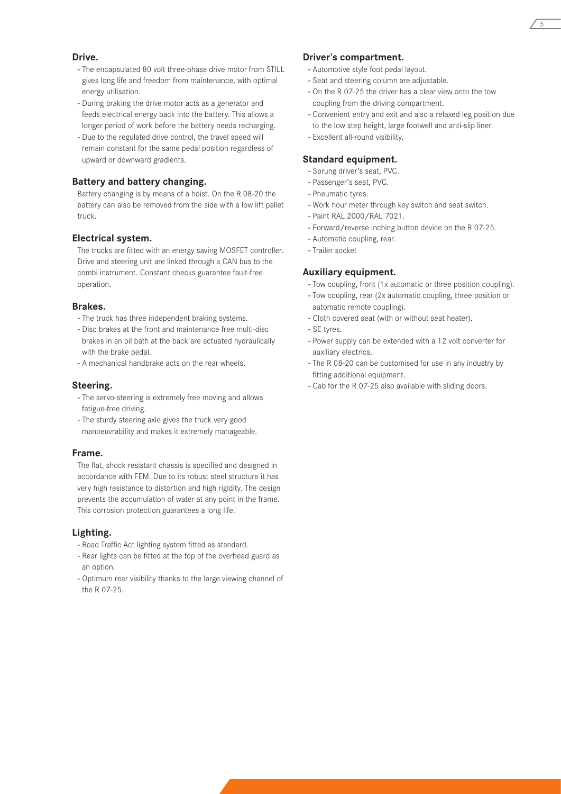#### **Drive.**

- The encapsulated 80 volt three-phase drive motor from STILL gives long life and freedom from maintenance, with optimal energy utilisation.
- During braking the drive motor acts as a generator and feeds electrical energy back into the battery. This allows a longer period of work before the battery needs recharging.
- Due to the regulated drive control, the travel speed will remain constant for the same pedal position regardless of upward or downward gradients.

#### **Battery and battery changing.**

Battery changing is by means of a hoist. On the R 08-20 the battery can also be removed from the side with a low lift pallet truck.

#### **Electrical system.**

The trucks are fitted with an energy saving MOSFET controller. Drive and steering unit are linked through a CAN bus to the combi instrument. Constant checks guarantee fault-free operation.

#### **Brakes.**

- The truck has three independent braking systems.
- Disc brakes at the front and maintenance free multi-disc brakes in an oil bath at the back are actuated hydraulically with the brake pedal.
- A mechanical handbrake acts on the rear wheels.

#### **Steering.**

- The servo-steering is extremely free moving and allows fatigue-free driving.
- The sturdy steering axle gives the truck very good manoeuvrability and makes it extremely manageable.

#### **Frame.**

The flat, shock resistant chassis is specified and designed in accordance with FEM. Due to its robust steel structure it has very high resistance to distortion and high rigidity. The design prevents the accumulation of water at any point in the frame. This corrosion protection guarantees a long life.

#### **Lighting.**

- Road Traffic Act lighting system fitted as standard.
- Rear lights can be fitted at the top of the overhead guard as an option.
- Optimum rear visibility thanks to the large viewing channel of the R 07-25.

#### **Driver's compartment.**

- Automotive style foot pedal layout.
- Seat and steering column are adjustable.
- On the R 07-25 the driver has a clear view onto the tow coupling from the driving compartment.
- Convenient entry and exit and also a relaxed leg position due to the low step height, large footwell and anti-slip liner.
- Excellent all-round visibility.

#### **Standard equipment.**

- Sprung driver's seat, PVC.
- Passenger's seat, PVC.
- Pneumatic tyres.
- Work hour meter through key switch and seat switch.
- Paint RAL 2000/RAL 7021.
- Forward/reverse inching button device on the R 07-25.
- Automatic coupling, rear.
- Trailer socket

### **Auxiliary equipment.**

- Tow coupling, front (1x automatic or three position coupling).
- Tow coupling, rear (2x automatic coupling, three position or automatic remote coupling).
- Cloth covered seat (with or without seat heater).
- SE tyres.
- Power supply can be extended with a 12 volt converter for auxiliary electrics.
- The R 08-20 can be customised for use in any industry by fitting additional equipment.
- Cab for the R 07-25 also available with sliding doors.